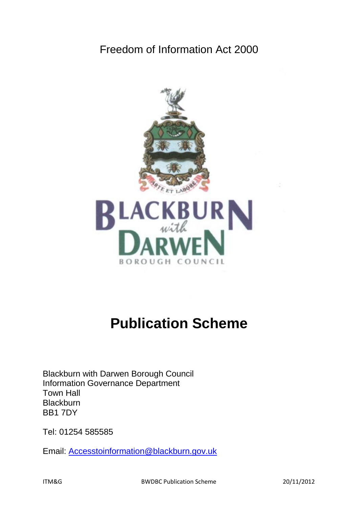# Freedom of Information Act 2000



# **Publication Scheme**

Blackburn with Darwen Borough Council Information Governance Department Town Hall **Blackburn** BB1 7DY

Tel: 01254 585585

Email: [Accesstoinformation@blackburn.gov.uk](mailto:Accesstoinformation@blackburn.gov.uk)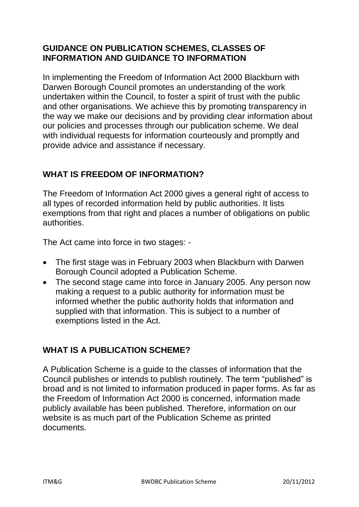#### **GUIDANCE ON PUBLICATION SCHEMES, CLASSES OF INFORMATION AND GUIDANCE TO INFORMATION**

In implementing the Freedom of Information Act 2000 Blackburn with Darwen Borough Council promotes an understanding of the work undertaken within the Council, to foster a spirit of trust with the public and other organisations. We achieve this by promoting transparency in the way we make our decisions and by providing clear information about our policies and processes through our publication scheme. We deal with individual requests for information courteously and promptly and provide advice and assistance if necessary.

# **WHAT IS FREEDOM OF INFORMATION?**

The Freedom of Information Act 2000 gives a general right of access to all types of recorded information held by public authorities. It lists exemptions from that right and places a number of obligations on public authorities.

The Act came into force in two stages: -

- The first stage was in February 2003 when Blackburn with Darwen Borough Council adopted a Publication Scheme.
- The second stage came into force in January 2005. Any person now making a request to a public authority for information must be informed whether the public authority holds that information and supplied with that information. This is subject to a number of exemptions listed in the Act.

# **WHAT IS A PUBLICATION SCHEME?**

A Publication Scheme is a guide to the classes of information that the Council publishes or intends to publish routinely. The term "published" is broad and is not limited to information produced in paper forms. As far as the Freedom of Information Act 2000 is concerned, information made publicly available has been published. Therefore, information on our website is as much part of the Publication Scheme as printed documents.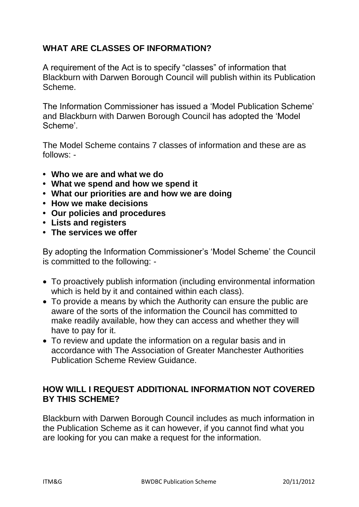# **WHAT ARE CLASSES OF INFORMATION?**

A requirement of the Act is to specify "classes" of information that Blackburn with Darwen Borough Council will publish within its Publication Scheme.

The Information Commissioner has issued a 'Model Publication Scheme' and Blackburn with Darwen Borough Council has adopted the 'Model Scheme'.

The Model Scheme contains 7 classes of information and these are as follows: -

- **Who we are and what we do**
- **What we spend and how we spend it**
- **What our priorities are and how we are doing**
- **How we make decisions**
- **Our policies and procedures**
- **Lists and registers**
- **The services we offer**

By adopting the Information Commissioner's 'Model Scheme' the Council is committed to the following: -

- To proactively publish information (including environmental information which is held by it and contained within each class).
- To provide a means by which the Authority can ensure the public are aware of the sorts of the information the Council has committed to make readily available, how they can access and whether they will have to pay for it.
- To review and update the information on a regular basis and in accordance with The Association of Greater Manchester Authorities Publication Scheme Review Guidance.

#### **HOW WILL I REQUEST ADDITIONAL INFORMATION NOT COVERED BY THIS SCHEME?**

Blackburn with Darwen Borough Council includes as much information in the Publication Scheme as it can however, if you cannot find what you are looking for you can make a request for the information.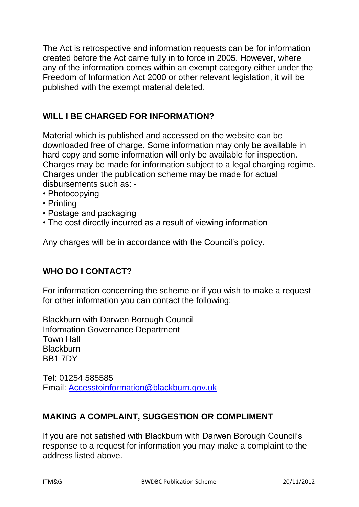The Act is retrospective and information requests can be for information created before the Act came fully in to force in 2005. However, where any of the information comes within an exempt category either under the Freedom of Information Act 2000 or other relevant legislation, it will be published with the exempt material deleted.

# **WILL I BE CHARGED FOR INFORMATION?**

Material which is published and accessed on the website can be downloaded free of charge. Some information may only be available in hard copy and some information will only be available for inspection. Charges may be made for information subject to a legal charging regime. Charges under the publication scheme may be made for actual disbursements such as: -

- Photocopying
- Printing
- Postage and packaging
- The cost directly incurred as a result of viewing information

Any charges will be in accordance with the Council's policy.

# **WHO DO I CONTACT?**

For information concerning the scheme or if you wish to make a request for other information you can contact the following:

Blackburn with Darwen Borough Council Information Governance Department Town Hall **Blackburn** BB1 7DY

Tel: 01254 585585 Email: [Accesstoinformation@blackburn.gov.uk](mailto:Accesstoinformation@blackburn.gov.uk)

#### **MAKING A COMPLAINT, SUGGESTION OR COMPLIMENT**

If you are not satisfied with Blackburn with Darwen Borough Council's response to a request for information you may make a complaint to the address listed above.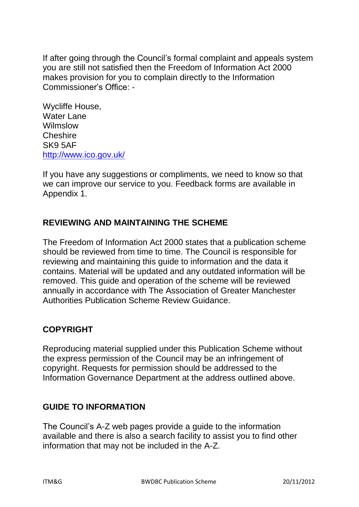If after going through the Council's formal complaint and appeals system you are still not satisfied then the Freedom of Information Act 2000 makes provision for you to complain directly to the Information Commissioner's Office: -

Wycliffe House, Water Lane **Wilmslow Cheshire** SK9 5AF <http://www.ico.gov.uk/>

If you have any suggestions or compliments, we need to know so that we can improve our service to you. Feedback forms are available in Appendix 1.

# **REVIEWING AND MAINTAINING THE SCHEME**

The Freedom of Information Act 2000 states that a publication scheme should be reviewed from time to time. The Council is responsible for reviewing and maintaining this guide to information and the data it contains. Material will be updated and any outdated information will be removed. This guide and operation of the scheme will be reviewed annually in accordance with The Association of Greater Manchester Authorities Publication Scheme Review Guidance.

# **COPYRIGHT**

Reproducing material supplied under this Publication Scheme without the express permission of the Council may be an infringement of copyright. Requests for permission should be addressed to the Information Governance Department at the address outlined above.

# **GUIDE TO INFORMATION**

The Council's A-Z web pages provide a guide to the information available and there is also a search facility to assist you to find other information that may not be included in the A-Z.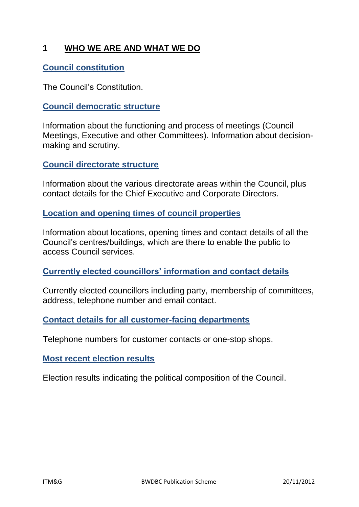### **1 WHO WE ARE AND WHAT WE DO**

#### **[Council constitution](http://www.blackburn.gov.uk/Pages/Council-and-democracy.aspx)**

The Council's Constitution.

#### **[Council democratic structure](http://www.blackburn.gov.uk/Pages/Council-and-democracy.aspx)**

Information about the functioning and process of meetings (Council Meetings, Executive and other Committees). Information about decisionmaking and scrutiny.

#### **[Council directorate structure](http://www.blackburn.gov.uk/Pages/Corporate-plan.aspx?CurrentTermId=4521ced4-4e6c-4a94-aadc-e5741540d1f1)**

Information about the various directorate areas within the Council, plus contact details for the Chief Executive and Corporate Directors.

#### **[Location and opening times of council properties](http://www.blackburn.gov.uk/Pages/Home.aspx)**

Information about locations, opening times and contact details of all the Council's centres/buildings, which are there to enable the public to access Council services.

#### **[Currently elected councillors' information and contact details](http://www.blackburn.gov.uk/Pages/Council-and-democracy.aspx)**

Currently elected councillors including party, membership of committees, address, telephone number and email contact.

#### **[Contact details for all customer-facing departments](http://www.blackburn.gov.uk/Pages/Home.aspx)**

Telephone numbers for customer contacts or one-stop shops.

#### **[Most recent election results](http://www.blackburn.gov.uk/Pages/Elections-and-voting.aspx)**

Election results indicating the political composition of the Council.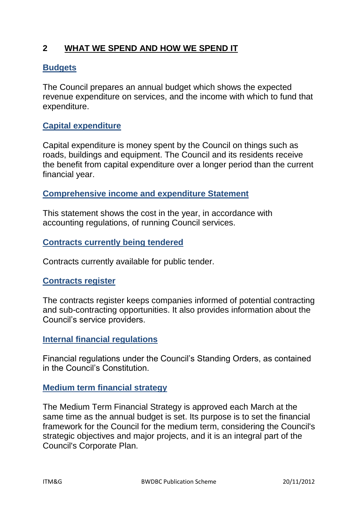#### **2 WHAT WE SPEND AND HOW WE SPEND IT**

#### **[Budgets](http://www.blackburn.gov.uk/Pages/Budget.aspx)**

The Council prepares an annual budget which shows the expected revenue expenditure on services, and the income with which to fund that expenditure.

#### **[Capital expenditure](http://www.blackburn.gov.uk/Pages/Accounts-and-expenditure.aspx)**

Capital expenditure is money spent by the Council on things such as roads, buildings and equipment. The Council and its residents receive the benefit from capital expenditure over a longer period than the current financial year.

#### **[Comprehensive income and expenditure Statement](http://www.blackburn.gov.uk/Pages/Accounts-and-expenditure.aspx)**

This statement shows the cost in the year, in accordance with accounting regulations, of running Council services.

#### **[Contracts currently being tendered](http://www.blackburn.gov.uk/Pages/Tenders-and-contracts.aspx)**

Contracts currently available for public tender.

#### **[Contracts register](http://www.blackburn.gov.uk/Pages/Contracts-register.aspx)**

The contracts register keeps companies informed of potential contracting and sub-contracting opportunities. It also provides information about the Council's service providers.

#### **[Internal financial regulations](http://www.blackburn.gov.uk/Pages/Council-and-democracy.aspx)**

Financial regulations under the Council's Standing Orders, as contained in the Council's Constitution.

#### **[Medium term financial strategy](http://www.blackburn.gov.uk/Pages/Medium-Term-Financial-Strategy-.aspx)**

The Medium Term Financial Strategy is approved each March at the same time as the annual budget is set. Its purpose is to set the financial framework for the Council for the medium term, considering the Council's strategic objectives and major projects, and it is an integral part of the Council's Corporate Plan.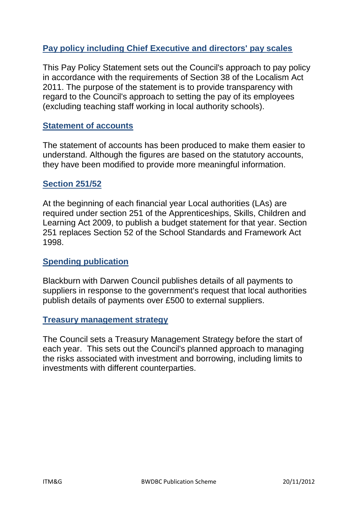#### **[Pay policy including Chief Executive and directors' pay scales](http://www.blackburn.gov.uk/Pages/Pay-policy-including-Chief-executive-and-directors-pay-scales.aspx)**

This Pay Policy Statement sets out the Council's approach to pay policy in accordance with the requirements of Section 38 of the Localism Act 2011. The purpose of the statement is to provide transparency with regard to the Council's approach to setting the pay of its employees (excluding teaching staff working in local authority schools).

#### **[Statement of accounts](http://www.blackburn.gov.uk/Pages/Accounts-and-expenditure.aspx)**

The statement of accounts has been produced to make them easier to understand. Although the figures are based on the statutory accounts, they have been modified to provide more meaningful information.

#### **[Section 251/52](http://www.blackburn.gov.uk/Pages/Schools-spending-return.aspx)**

At the beginning of each financial year Local authorities (LAs) are required under section 251 of the Apprenticeships, Skills, Children and Learning Act 2009, to publish a budget statement for that year. Section 251 replaces Section 52 of the School Standards and Framework Act 1998.

#### **[Spending publication](http://www.blackburn.gov.uk/Pages/Spending-publication.aspx?CurrentTermId=b2f64724-39b6-4efb-824e-419b8ae24dc1)**

Blackburn with Darwen Council publishes details of all payments to suppliers in response to the government's request that local authorities publish details of payments over £500 to external suppliers.

#### **[Treasury management strategy](http://www.blackburn.gov.uk/Pages/Treasury-management-strategy.aspx)**

The Council sets a Treasury Management Strategy before the start of each year. This sets out the Council's planned approach to managing the risks associated with investment and borrowing, including limits to investments with different counterparties.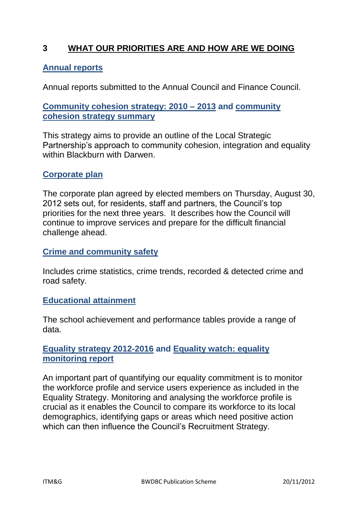#### **3 WHAT OUR PRIORITIES ARE AND HOW ARE WE DOING**

#### **[Annual reports](http://94.236.33.182/CmiswebPublic/Default.aspx)**

Annual reports submitted to the Annual Council and Finance Council.

#### **[Community cohesion strategy: 2010 –](http://www.blackburn.gov.uk/Pages/Equality-and-diversity.aspx) 2013 and [community](http://www.blackburn.gov.uk/Pages/Equality-and-diversity.aspx)  [cohesion strategy summary](http://www.blackburn.gov.uk/Pages/Equality-and-diversity.aspx)**

This strategy aims to provide an outline of the Local Strategic Partnership's approach to community cohesion, integration and equality within Blackburn with Darwen.

#### **[Corporate plan](http://www.blackburn.gov.uk/Pages/Corporate-plan.aspx?CurrentTermId=4521ced4-4e6c-4a94-aadc-e5741540d1f1)**

The corporate plan agreed by elected members on Thursday, August 30, 2012 sets out, for residents, staff and partners, the Council's top priorities for the next three years. It describes how the Council will continue to improve services and prepare for the difficult financial challenge ahead.

#### **[Crime and community safety](http://www.blackburn.gov.uk/Pages/Crime-and-community-safety.aspx)**

Includes crime statistics, crime trends, recorded & detected crime and road safety.

#### **[Educational attainment](http://www.blackburn.gov.uk/Pages/Education.aspx)**

The school achievement and performance tables provide a range of data.

#### **[Equality strategy 2012-2016](http://www.blackburn.gov.uk/Pages/Equality-and-diversity.aspx) and [Equality watch: equality](http://www.blackburn.gov.uk/Pages/Equality-and-diversity.aspx)  [monitoring report](http://www.blackburn.gov.uk/Pages/Equality-and-diversity.aspx)**

An important part of quantifying our equality commitment is to monitor the workforce profile and service users experience as included in the Equality Strategy. Monitoring and analysing the workforce profile is crucial as it enables the Council to compare its workforce to its local demographics, identifying gaps or areas which need positive action which can then influence the Council's Recruitment Strategy.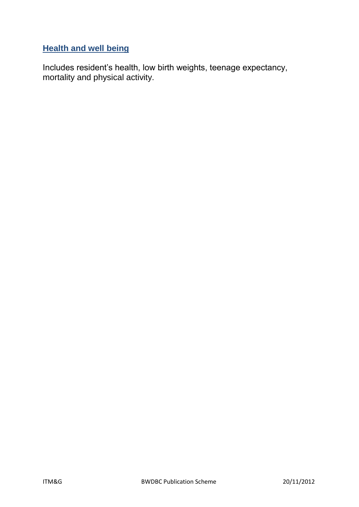# **[Health and well being](http://www.blackburn.gov.uk/Pages/Health-and-well-being-indicators.aspx)**

Includes resident's health, low birth weights, teenage expectancy, mortality and physical activity.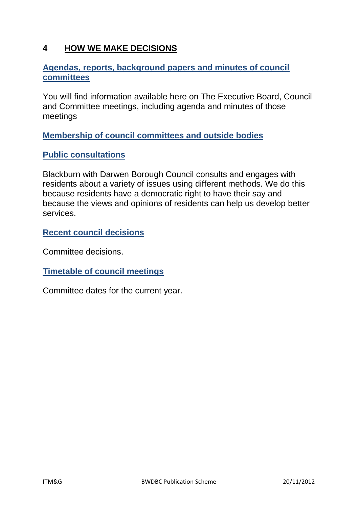#### **4 HOW WE MAKE DECISIONS**

#### **[Agendas, reports, background papers and minutes of council](http://94.236.33.182/CmiswebPublic/CommitteeSelection.aspx)  [committees](http://94.236.33.182/CmiswebPublic/CommitteeSelection.aspx)**

You will find information available here on The Executive Board, Council and Committee meetings, including agenda and minutes of those meetings

**[Membership of council committees and outside bodies](http://94.236.33.182/CmiswebPublic/Default.aspx)**

#### **[Public consultations](http://www.blackburn.gov.uk/Pages/Consultations.aspx?CurrentTermId=d5aefcb3-24f1-42d0-84a3-f4e5683e4b14)**

Blackburn with Darwen Borough Council consults and engages with residents about a variety of issues using different methods. We do this because residents have a democratic right to have their say and because the views and opinions of residents can help us develop better services.

**[Recent council decisions](http://www.blackburn.gov.uk/Pages/Council-and-democracy.aspx)**

Committee decisions.

**[Timetable of council meetings](http://94.236.33.182/CmiswebPublic/CommitteeSelection.aspx)**

Committee dates for the current year.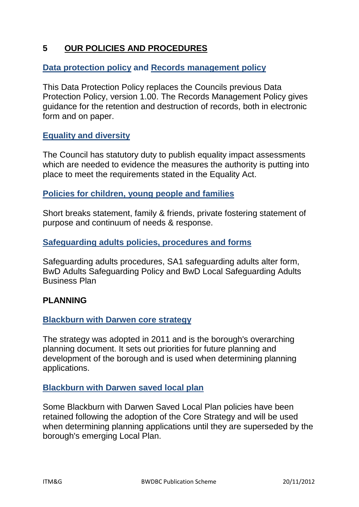#### **5 OUR POLICIES AND PROCEDURES**

#### **[Data protection policy](http://www.blackburn.gov.uk/Pages/Data-protection-policy.aspx) and [Records management policy](http://www.blackburn.gov.uk/Pages/Data-protection-policy.aspx)**

This Data Protection Policy replaces the Councils previous Data Protection Policy, version 1.00. The Records Management Policy gives guidance for the retention and destruction of records, both in electronic form and on paper.

#### **[Equality and diversity](http://www.blackburn.gov.uk/Pages/Equality-and-diversity.aspx)**

The Council has statutory duty to publish equality impact assessments which are needed to evidence the measures the authority is putting into place to meet the requirements stated in the Equality Act.

#### **[Policies for children, young people and families](http://www.blackburn.gov.uk/Pages/Policies-for-children-young-people-and-families.aspx)**

Short breaks statement, family & friends, private fostering statement of purpose and continuum of needs & response.

#### **[Safeguarding adults policies, procedures and forms](http://www.yoursupportyourchoice.org.uk/safeguarding-adults-policies,-procedures-and-forms.aspx)**

Safeguarding adults procedures, SA1 safeguarding adults alter form, BwD Adults Safeguarding Policy and BwD Local Safeguarding Adults Business Plan

#### **PLANNING**

#### **[Blackburn with Darwen core strategy](http://www.blackburn.gov.uk/Pages/Core-Strategy-.aspx)**

The strategy was adopted in 2011 and is the borough's overarching planning document. It sets out priorities for future planning and development of the borough and is used when determining planning applications.

#### **[Blackburn with Darwen saved local plan](http://www.blackburn.gov.uk/Pages/Saved-Local-Plan--%282002%29-.aspx)**

Some Blackburn with Darwen Saved Local Plan policies have been retained following the adoption of the Core Strategy and will be used when determining planning applications until they are superseded by the borough's emerging Local Plan.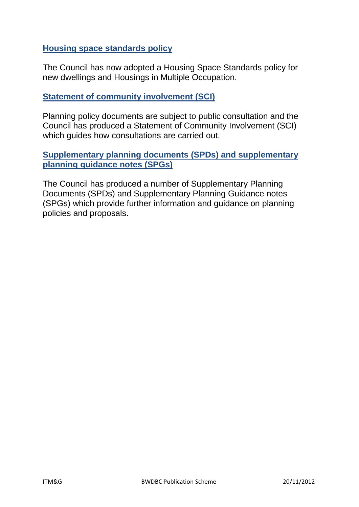#### **[Housing space standards policy](http://www.blackburn.gov.uk/Pages/Planning-policies.aspx)**

The Council has now adopted a Housing Space Standards policy for new dwellings and Housings in Multiple Occupation.

#### **[Statement of community involvement \(SCI\)](http://www.blackburn.gov.uk/Pages/Statement-of-Community-Involvement.aspx)**

Planning policy documents are subject to public consultation and the Council has produced a Statement of Community Involvement (SCI) which guides how consultations are carried out.

#### **[Supplementary planning documents \(SPDs\) and supplementary](http://www.blackburn.gov.uk/Pages/Supplementary-Planning-Documents-.aspx)  [planning guidance notes \(SPGs\)](http://www.blackburn.gov.uk/Pages/Supplementary-Planning-Documents-.aspx)**

The Council has produced a number of Supplementary Planning Documents (SPDs) and Supplementary Planning Guidance notes (SPGs) which provide further information and guidance on planning policies and proposals.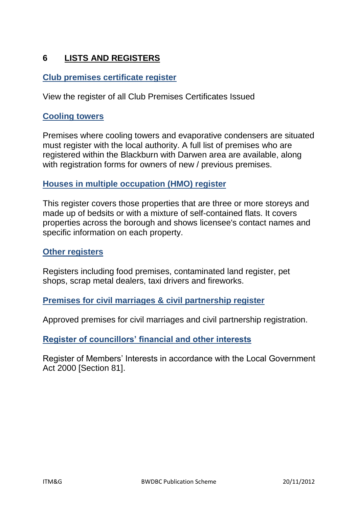# **6 LISTS AND REGISTERS**

#### **[Club premises certificate register](http://www.blackburn.gov.uk/Pages/Club-Premises-Certificate-Register.aspx)**

View the register of all Club Premises Certificates Issued

#### **[Cooling towers](http://www.blackburn.gov.uk/Pages/Register-of-cooling-towers-and-evaporative-condensers.aspx)**

Premises where cooling towers and evaporative condensers are situated must register with the local authority. A full list of premises who are registered within the Blackburn with Darwen area are available, along with registration forms for owners of new / previous premises.

#### **[Houses in multiple occupation \(HMO\) register](http://www.blackburn.gov.uk/Pages/Lists-and-public-registers.aspx)**

This register covers those properties that are three or more storeys and made up of bedsits or with a mixture of self-contained flats. It covers properties across the borough and shows licensee's contact names and specific information on each property.

#### **[Other registers](http://www.blackburn.gov.uk/Pages/Other-registers.aspx)**

Registers including food premises, contaminated land register, pet shops, scrap metal dealers, taxi drivers and fireworks.

#### **[Premises for civil marriages & civil partnership register](http://www.blackburn.gov.uk/Pages/Approved-premises-for-ceremonies.aspx)**

Approved premises for civil marriages and civil partnership registration.

#### **[Register of councillors' financial and other interests](http://94.236.33.182/CmiswebPublic/Members.aspx)**

Register of Members' Interests in accordance with the Local Government Act 2000 [Section 81].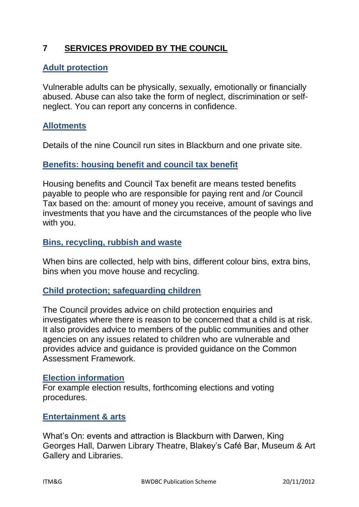# **7 SERVICES PROVIDED BY THE COUNCIL**

#### **[Adult protection](http://www.blackburn.gov.uk/Pages/Adult-protection.aspx)**

Vulnerable adults can be physically, sexually, emotionally or financially abused. Abuse can also take the form of neglect, discrimination or selfneglect. You can report any concerns in confidence.

#### **[Allotments](http://www.blackburn.gov.uk/Pages/Allotments.aspx?CurrentTermId=c086fd46-71c0-4751-bf3e-802196793ac0)**

Details of the nine Council run sites in Blackburn and one private site.

#### **[Benefits: housing benefit and council tax benefit](http://www.blackburn.gov.uk/Pages/Benefits-Housing-benefit-and-Council-tax-benefit.aspx)**

Housing benefits and Council Tax benefit are means tested benefits payable to people who are responsible for paying rent and /or Council Tax based on the: amount of money you receive, amount of savings and investments that you have and the circumstances of the people who live with you.

#### **[Bins, recycling, rubbish and waste](http://www.blackburn.gov.uk/Pages/Bins.aspx)**

When bins are collected, help with bins, different colour bins, extra bins, bins when you move house and recycling.

#### **[Child protection; safeguarding children](http://www.blackburn.gov.uk/Pages/safeguarding-children.aspx)**

The Council provides advice on child protection enquiries and investigates where there is reason to be concerned that a child is at risk. It also provides advice to members of the public communities and other agencies on any issues related to children who are vulnerable and provides advice and guidance is provided guidance on the Common Assessment Framework.

#### **[Election information](http://www.blackburn.gov.uk/Pages/Elections-and-voting.aspx)**

For example election results, forthcoming elections and voting procedures.

#### **[Entertainment & arts](http://www.blackburn.gov.uk/Pages/Entertainment-and-arts.aspx)**

What's On: events and attraction is Blackburn with Darwen, King Georges Hall, Darwen Library Theatre, Blakey's Café Bar, Museum & Art Gallery and Libraries.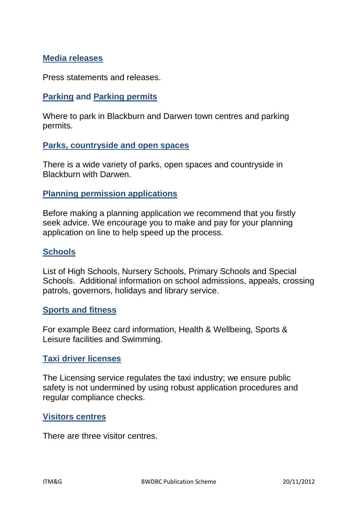#### **[Media releases](http://www.blackburn.gov.uk/media/Pages/Home.aspx)**

Press statements and releases.

#### **[Parking](http://www.blackburn.gov.uk/Pages/Parking.aspx) and [Parking permits](http://www.blackburn.gov.uk/Pages/Parking-permits.aspx)**

Where to park in Blackburn and Darwen town centres and parking permits.

#### **[Parks, countryside and open spaces](http://www.blackburn.gov.uk/Pages/Parks-and-open-spaces.aspx)**

There is a wide variety of parks, open spaces and countryside in Blackburn with Darwen.

#### **[Planning permission applications](http://www.blackburn.gov.uk/Pages/Planning-permission-applications.aspx)**

Before making a planning application we recommend that you firstly seek advice. We encourage you to make and pay for your planning application on line to help speed up the process.

#### **[Schools](http://www.blackburn.gov.uk/Pages/Schools.aspx)**

List of High Schools, Nursery Schools, Primary Schools and Special Schools. Additional information on school admissions, appeals, crossing patrols, governors, holidays and library service.

#### **Sports [and fitness](http://www.blackburn.gov.uk/Pages/Sport-and-fitness.aspx)**

For example Beez card information, Health & Wellbeing, Sports & Leisure facilities and Swimming.

#### **[Taxi driver licenses](http://www.blackburn.gov.uk/Pages/Taxi-driver-licence.aspx)**

The Licensing service regulates the taxi industry; we ensure public safety is not undermined by using robust application procedures and regular compliance checks.

#### **[Visitors centres](http://www.blackburn.gov.uk/Pages/Visitor-centres.aspx)**

There are three visitor centres.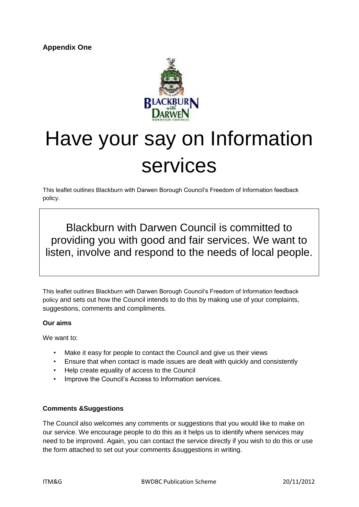

# Have your say on Information services

This leaflet outlines Blackburn with Darwen Borough Council's Freedom of Information feedback policy.

Blackburn with Darwen Council is committed to providing you with good and fair services. We want to listen, involve and respond to the needs of local people.

This leaflet outlines Blackburn with Darwen Borough Council's Freedom of Information feedback policy and sets out how the Council intends to do this by making use of your complaints, suggestions, comments and compliments.

#### **Our aims**

We want to:

- Make it easy for people to contact the Council and give us their views
- Ensure that when contact is made issues are dealt with quickly and consistently
- Help create equality of access to the Council
- Improve the Council's Access to Information services.

#### **Comments &Suggestions**

The Council also welcomes any comments or suggestions that you would like to make on our service. We encourage people to do this as it helps us to identify where services may need to be improved. Again, you can contact the service directly if you wish to do this or use the form attached to set out your comments &suggestions in writing.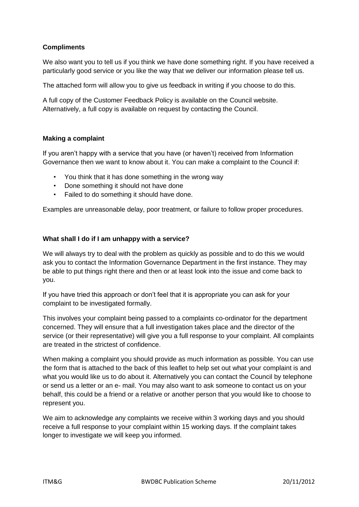#### **Compliments**

We also want you to tell us if you think we have done something right. If you have received a particularly good service or you like the way that we deliver our information please tell us.

The attached form will allow you to give us feedback in writing if you choose to do this.

A full copy of the Customer Feedback Policy is available on the Council website. Alternatively, a full copy is available on request by contacting the Council.

#### **Making a complaint**

If you aren't happy with a service that you have (or haven't) received from Information Governance then we want to know about it. You can make a complaint to the Council if:

- You think that it has done something in the wrong way
- Done something it should not have done
- Failed to do something it should have done.

Examples are unreasonable delay, poor treatment, or failure to follow proper procedures.

#### **What shall I do if I am unhappy with a service?**

We will always try to deal with the problem as quickly as possible and to do this we would ask you to contact the Information Governance Department in the first instance. They may be able to put things right there and then or at least look into the issue and come back to you.

If you have tried this approach or don't feel that it is appropriate you can ask for your complaint to be investigated formally.

This involves your complaint being passed to a complaints co-ordinator for the department concerned. They will ensure that a full investigation takes place and the director of the service (or their representative) will give you a full response to your complaint. All complaints are treated in the strictest of confidence.

When making a complaint you should provide as much information as possible. You can use the form that is attached to the back of this leaflet to help set out what your complaint is and what you would like us to do about it. Alternatively you can contact the Council by telephone or send us a letter or an e- mail. You may also want to ask someone to contact us on your behalf, this could be a friend or a relative or another person that you would like to choose to represent you.

We aim to acknowledge any complaints we receive within 3 working days and you should receive a full response to your complaint within 15 working days. If the complaint takes longer to investigate we will keep you informed.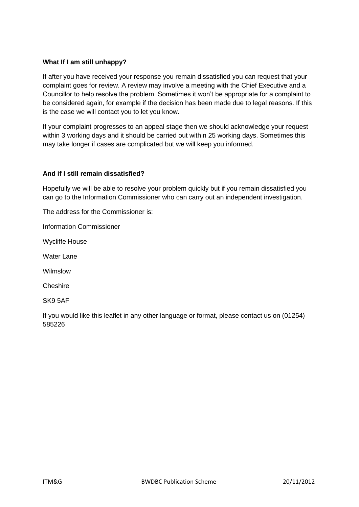#### **What If I am still unhappy?**

If after you have received your response you remain dissatisfied you can request that your complaint goes for review. A review may involve a meeting with the Chief Executive and a Councillor to help resolve the problem. Sometimes it won't be appropriate for a complaint to be considered again, for example if the decision has been made due to legal reasons. If this is the case we will contact you to let you know.

If your complaint progresses to an appeal stage then we should acknowledge your request within 3 working days and it should be carried out within 25 working days. Sometimes this may take longer if cases are complicated but we will keep you informed.

#### **And if I still remain dissatisfied?**

Hopefully we will be able to resolve your problem quickly but if you remain dissatisfied you can go to the Information Commissioner who can carry out an independent investigation.

The address for the Commissioner is:

Information Commissioner

Wycliffe House

Water Lane

Wilmslow

Cheshire

SK9 5AF

If you would like this leaflet in any other language or format, please contact us on (01254) 585226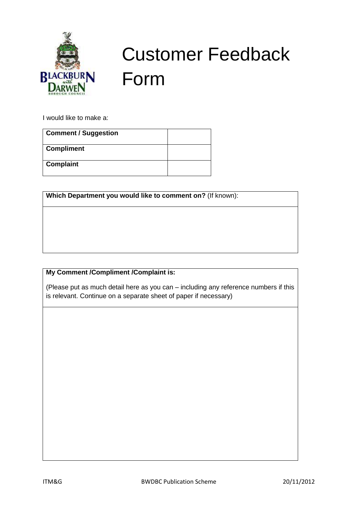

# Customer Feedback Form

I would like to make a:

| <b>Comment / Suggestion</b> |  |
|-----------------------------|--|
| <b>Compliment</b>           |  |
| <b>Complaint</b>            |  |

**Which Department you would like to comment on?** (If known):

#### **My Comment /Compliment /Complaint is:**

(Please put as much detail here as you can – including any reference numbers if this is relevant. Continue on a separate sheet of paper if necessary)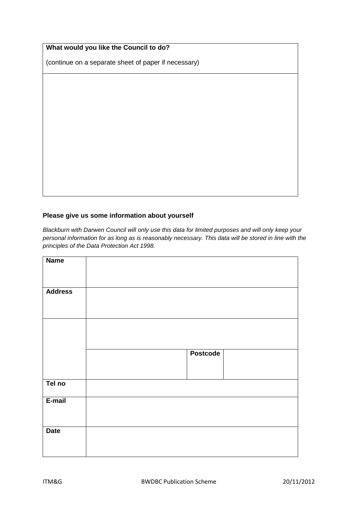| What would you like the Council to do? |  |  |  |
|----------------------------------------|--|--|--|
|----------------------------------------|--|--|--|

(continue on a separate sheet of paper if necessary)

#### **Please give us some information about yourself**

*Blackburn with Darwen Council will only use this data for limited purposes and will only keep your personal information for as long as is reasonably necessary. This data will be stored in line with the principles of the Data Protection Act 1998.* 

| <b>Name</b>    |                 |  |
|----------------|-----------------|--|
|                |                 |  |
|                |                 |  |
|                |                 |  |
|                |                 |  |
| <b>Address</b> |                 |  |
|                |                 |  |
|                |                 |  |
|                |                 |  |
|                |                 |  |
|                |                 |  |
|                |                 |  |
|                |                 |  |
|                |                 |  |
|                |                 |  |
|                |                 |  |
|                | <b>Postcode</b> |  |
|                |                 |  |
|                |                 |  |
|                |                 |  |
|                |                 |  |
| Tel no         |                 |  |
|                |                 |  |
|                |                 |  |
| E-mail         |                 |  |
|                |                 |  |
|                |                 |  |
|                |                 |  |
|                |                 |  |
| <b>Date</b>    |                 |  |
|                |                 |  |
|                |                 |  |
|                |                 |  |
|                |                 |  |
|                |                 |  |